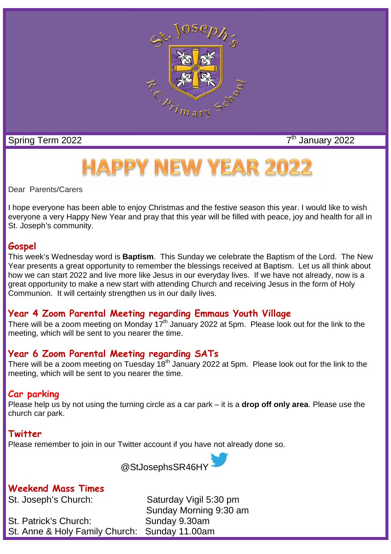

Spring Term 2022 7<sup>th</sup> January 2022

# **HAPPY NEW YEAR 2022**

Dear Parents/Carers

I hope everyone has been able to enjoy Christmas and the festive season this year. I would like to wish everyone a very Happy New Year and pray that this year will be filled with peace, joy and health for all in St. Joseph's community.

#### **Gospel**

This week's Wednesday word is **Baptism**. This Sunday we celebrate the Baptism of the Lord. The New Year presents a great opportunity to remember the blessings received at Baptism. Let us all think about how we can start 2022 and live more like Jesus in our everyday lives. If we have not already, now is a great opportunity to make a new start with attending Church and receiving Jesus in the form of Holy Communion. It will certainly strengthen us in our daily lives.

## **Year 4 Zoom Parental Meeting regarding Emmaus Youth Village**

There will be a zoom meeting on Monday 17<sup>th</sup> January 2022 at 5pm. Please look out for the link to the meeting, which will be sent to you nearer the time.

## **Year 6 Zoom Parental Meeting regarding SATs**

There will be a zoom meeting on Tuesday 18<sup>th</sup> January 2022 at 5pm. Please look out for the link to the meeting, which will be sent to you nearer the time.

## **Car parking**

Please help us by not using the turning circle as a car park – it is a **drop off only area**. Please use the church car park.

#### **Twitter**

Please remember to join in our Twitter account if you have not already done so.



**Weekend Mass Times**

St. Patrick's Church: Sunday 9.30am St. Anne & Holy Family Church: Sunday 11.00am

St. Joseph's Church: Saturday Vigil 5:30 pm Sunday Morning 9:30 am